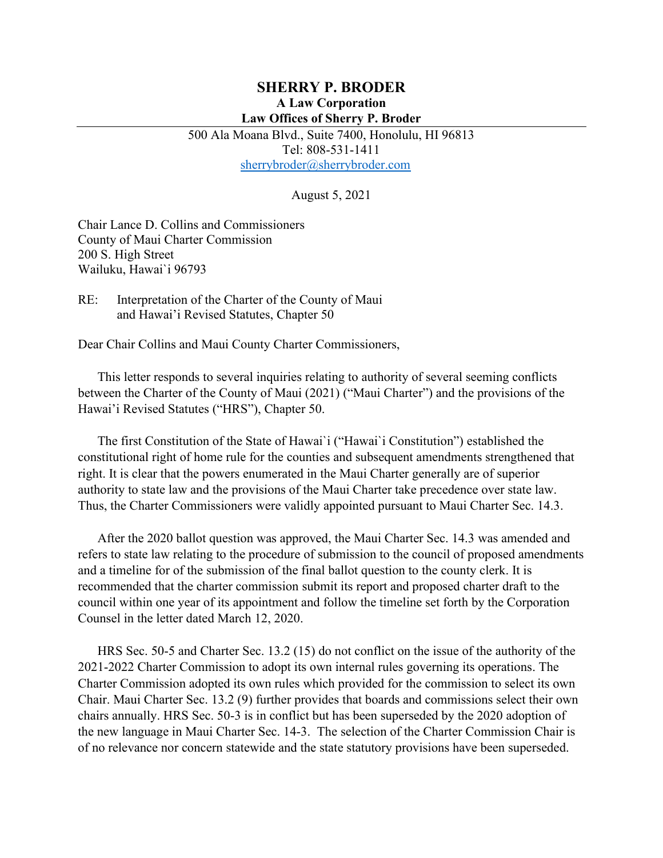#### **SHERRY P. BRODER A Law Corporation Law Offices of Sherry P. Broder**

500 Ala Moana Blvd., Suite 7400, Honolulu, HI 96813 Tel: 808-531-1411 [sherrybroder@sherrybroder.com](mailto:sherrybroder@sherrybroder.com)

August 5, 2021

Chair Lance D. Collins and Commissioners County of Maui Charter Commission 200 S. High Street Wailuku, Hawai`i 96793

RE: Interpretation of the Charter of the County of Maui and Hawai'i Revised Statutes, Chapter 50

Dear Chair Collins and Maui County Charter Commissioners,

This letter responds to several inquiries relating to authority of several seeming conflicts between the Charter of the County of Maui (2021) ("Maui Charter") and the provisions of the Hawai'i Revised Statutes ("HRS"), Chapter 50.

The first Constitution of the State of Hawai`i ("Hawai`i Constitution") established the constitutional right of home rule for the counties and subsequent amendments strengthened that right. It is clear that the powers enumerated in the Maui Charter generally are of superior authority to state law and the provisions of the Maui Charter take precedence over state law. Thus, the Charter Commissioners were validly appointed pursuant to Maui Charter Sec. 14.3.

After the 2020 ballot question was approved, the Maui Charter Sec. 14.3 was amended and refers to state law relating to the procedure of submission to the council of proposed amendments and a timeline for of the submission of the final ballot question to the county clerk. It is recommended that the charter commission submit its report and proposed charter draft to the council within one year of its appointment and follow the timeline set forth by the Corporation Counsel in the letter dated March 12, 2020.

HRS Sec. 50-5 and Charter Sec. 13.2 (15) do not conflict on the issue of the authority of the 2021-2022 Charter Commission to adopt its own internal rules governing its operations. The Charter Commission adopted its own rules which provided for the commission to select its own Chair. Maui Charter Sec. 13.2 (9) further provides that boards and commissions select their own chairs annually. HRS Sec. 50-3 is in conflict but has been superseded by the 2020 adoption of the new language in Maui Charter Sec. 14-3. The selection of the Charter Commission Chair is of no relevance nor concern statewide and the state statutory provisions have been superseded.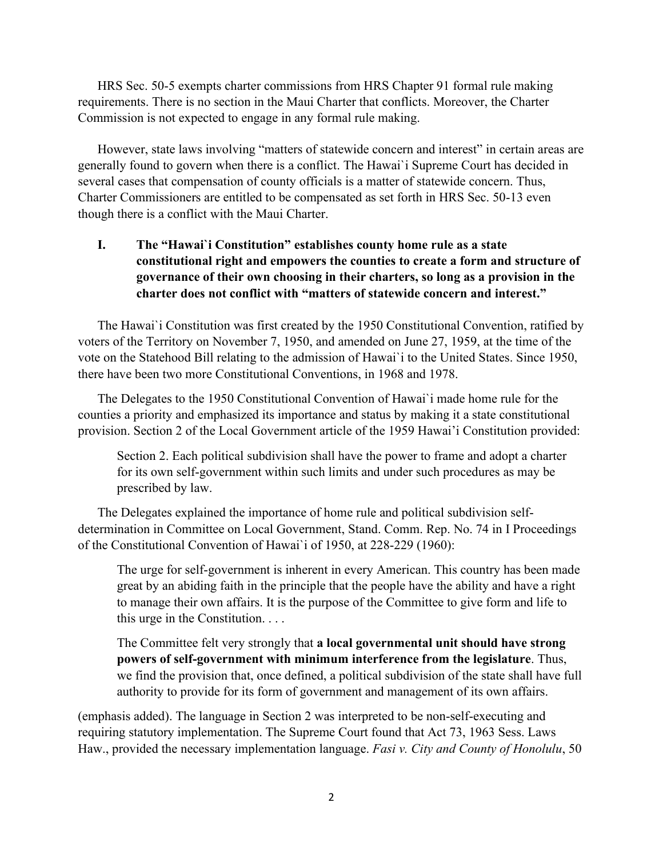HRS Sec. 50-5 exempts charter commissions from HRS Chapter 91 formal rule making requirements. There is no section in the Maui Charter that conflicts. Moreover, the Charter Commission is not expected to engage in any formal rule making.

However, state laws involving "matters of statewide concern and interest" in certain areas are generally found to govern when there is a conflict. The Hawai`i Supreme Court has decided in several cases that compensation of county officials is a matter of statewide concern. Thus, Charter Commissioners are entitled to be compensated as set forth in HRS Sec. 50-13 even though there is a conflict with the Maui Charter.

## **I. The "Hawai`i Constitution" establishes county home rule as a state constitutional right and empowers the counties to create a form and structure of governance of their own choosing in their charters, so long as a provision in the charter does not conflict with "matters of statewide concern and interest."**

The Hawai`i Constitution was first created by the 1950 Constitutional Convention, ratified by voters of the Territory on November 7, 1950, and amended on June 27, 1959, at the time of the vote on the Statehood Bill relating to the admission of Hawai`i to the United States. Since 1950, there have been two more Constitutional Conventions, in 1968 and 1978.

The Delegates to the 1950 Constitutional Convention of Hawai`i made home rule for the counties a priority and emphasized its importance and status by making it a state constitutional provision. Section 2 of the Local Government article of the 1959 Hawai'i Constitution provided:

Section 2. Each political subdivision shall have the power to frame and adopt a charter for its own self-government within such limits and under such procedures as may be prescribed by law.

The Delegates explained the importance of home rule and political subdivision selfdetermination in Committee on Local Government, Stand. Comm. Rep. No. 74 in I Proceedings of the Constitutional Convention of Hawai`i of 1950, at 228-229 (1960):

The urge for self-government is inherent in every American. This country has been made great by an abiding faith in the principle that the people have the ability and have a right to manage their own affairs. It is the purpose of the Committee to give form and life to this urge in the Constitution. . . .

The Committee felt very strongly that **a local governmental unit should have strong powers of self-government with minimum interference from the legislature**. Thus, we find the provision that, once defined, a political subdivision of the state shall have full authority to provide for its form of government and management of its own affairs.

(emphasis added). The language in Section 2 was interpreted to be non-self-executing and requiring statutory implementation. The Supreme Court found that Act 73, 1963 Sess. Laws Haw., provided the necessary implementation language. *Fasi v. City and County of Honolulu*, 50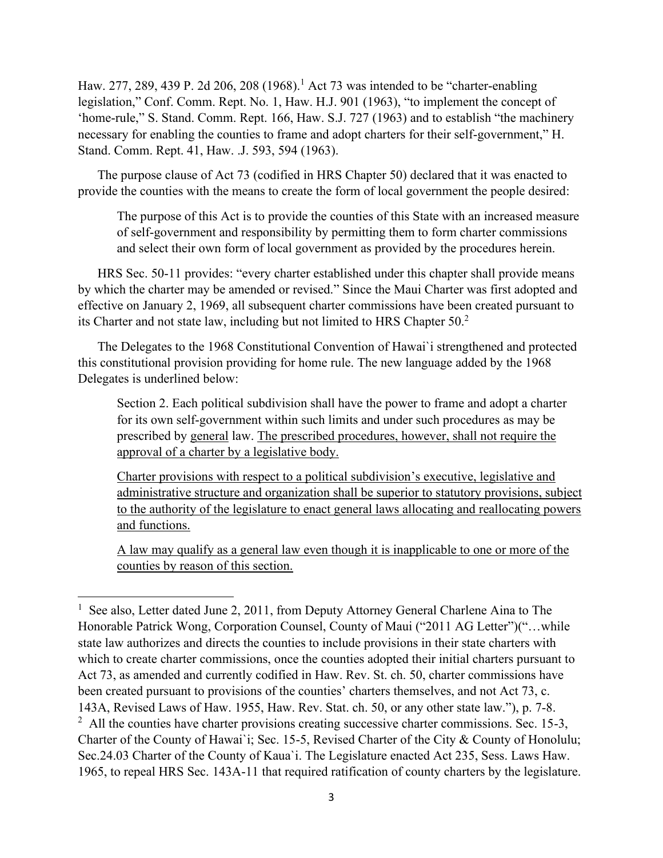Haw. 277, 289, 439 P. 2d 206, 208 (1968).<sup>1</sup> Act 73 was intended to be "charter-enabling legislation," Conf. Comm. Rept. No. 1, Haw. H.J. 901 (1963), "to implement the concept of 'home-rule," S. Stand. Comm. Rept. 166, Haw. S.J. 727 (1963) and to establish "the machinery necessary for enabling the counties to frame and adopt charters for their self-government," H. Stand. Comm. Rept. 41, Haw. .J. 593, 594 (1963).

The purpose clause of Act 73 (codified in HRS Chapter 50) declared that it was enacted to provide the counties with the means to create the form of local government the people desired:

The purpose of this Act is to provide the counties of this State with an increased measure of self-government and responsibility by permitting them to form charter commissions and select their own form of local government as provided by the procedures herein.

HRS Sec. 50-11 provides: "every charter established under this chapter shall provide means by which the charter may be amended or revised." Since the Maui Charter was first adopted and effective on January 2, 1969, all subsequent charter commissions have been created pursuant to its Charter and not state law, including but not limited to HRS Chapter 50.<sup>2</sup>

The Delegates to the 1968 Constitutional Convention of Hawai`i strengthened and protected this constitutional provision providing for home rule. The new language added by the 1968 Delegates is underlined below:

Section 2. Each political subdivision shall have the power to frame and adopt a charter for its own self-government within such limits and under such procedures as may be prescribed by general law. The prescribed procedures, however, shall not require the approval of a charter by a legislative body.

Charter provisions with respect to a political subdivision's executive, legislative and administrative structure and organization shall be superior to statutory provisions, subject to the authority of the legislature to enact general laws allocating and reallocating powers and functions.

A law may qualify as a general law even though it is inapplicable to one or more of the counties by reason of this section.

<sup>&</sup>lt;sup>1</sup> See also, Letter dated June 2, 2011, from Deputy Attorney General Charlene Aina to The Honorable Patrick Wong, Corporation Counsel, County of Maui ("2011 AG Letter")("…while state law authorizes and directs the counties to include provisions in their state charters with which to create charter commissions, once the counties adopted their initial charters pursuant to Act 73, as amended and currently codified in Haw. Rev. St. ch. 50, charter commissions have been created pursuant to provisions of the counties' charters themselves, and not Act 73, c. 143A, Revised Laws of Haw. 1955, Haw. Rev. Stat. ch. 50, or any other state law."), p. 7-8.  $2$  All the counties have charter provisions creating successive charter commissions. Sec. 15-3, Charter of the County of Hawai`i; Sec. 15-5, Revised Charter of the City & County of Honolulu; Sec.24.03 Charter of the County of Kaua`i. The Legislature enacted Act 235, Sess. Laws Haw. 1965, to repeal HRS Sec. 143A-11 that required ratification of county charters by the legislature.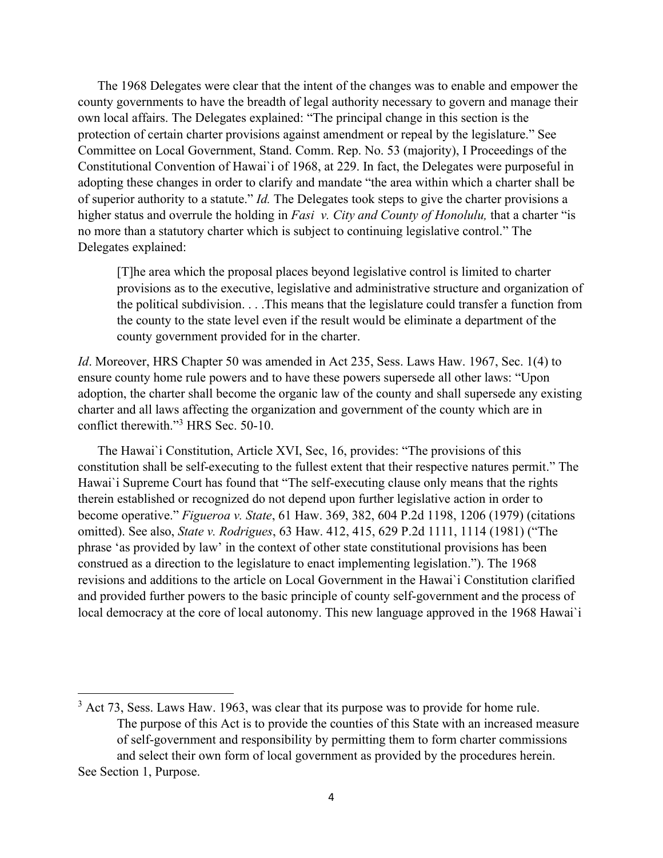The 1968 Delegates were clear that the intent of the changes was to enable and empower the county governments to have the breadth of legal authority necessary to govern and manage their own local affairs. The Delegates explained: "The principal change in this section is the protection of certain charter provisions against amendment or repeal by the legislature." See Committee on Local Government, Stand. Comm. Rep. No. 53 (majority), I Proceedings of the Constitutional Convention of Hawai`i of 1968, at 229. In fact, the Delegates were purposeful in adopting these changes in order to clarify and mandate "the area within which a charter shall be of superior authority to a statute." *Id.* The Delegates took steps to give the charter provisions a higher status and overrule the holding in *Fasi v. City and County of Honolulu,* that a charter "is no more than a statutory charter which is subject to continuing legislative control." The Delegates explained:

[T]he area which the proposal places beyond legislative control is limited to charter provisions as to the executive, legislative and administrative structure and organization of the political subdivision. . . .This means that the legislature could transfer a function from the county to the state level even if the result would be eliminate a department of the county government provided for in the charter.

*Id*. Moreover, HRS Chapter 50 was amended in Act 235, Sess. Laws Haw. 1967, Sec. 1(4) to ensure county home rule powers and to have these powers supersede all other laws: "Upon adoption, the charter shall become the organic law of the county and shall supersede any existing charter and all laws affecting the organization and government of the county which are in conflict therewith."<sup>3</sup> HRS Sec. 50-10.

The Hawai`i Constitution, Article XVI, Sec, 16, provides: "The provisions of this constitution shall be self-executing to the fullest extent that their respective natures permit." The Hawai`i Supreme Court has found that "The self-executing clause only means that the rights therein established or recognized do not depend upon further legislative action in order to become operative." *Figueroa v. State*, 61 Haw. 369, 382, 604 P.2d 1198, 1206 (1979) (citations omitted). See also, *State v. Rodrigues*, 63 Haw. 412, 415, 629 P.2d 1111, 1114 (1981) ("The phrase 'as provided by law' in the context of other state constitutional provisions has been construed as a direction to the legislature to enact implementing legislation."). The 1968 revisions and additions to the article on Local Government in the Hawai`i Constitution clarified and provided further powers to the basic principle of county self-government and the process of local democracy at the core of local autonomy. This new language approved in the 1968 Hawai`i

 $3$  Act 73, Sess. Laws Haw. 1963, was clear that its purpose was to provide for home rule. The purpose of this Act is to provide the counties of this State with an increased measure of self-government and responsibility by permitting them to form charter commissions and select their own form of local government as provided by the procedures herein. See Section 1, Purpose.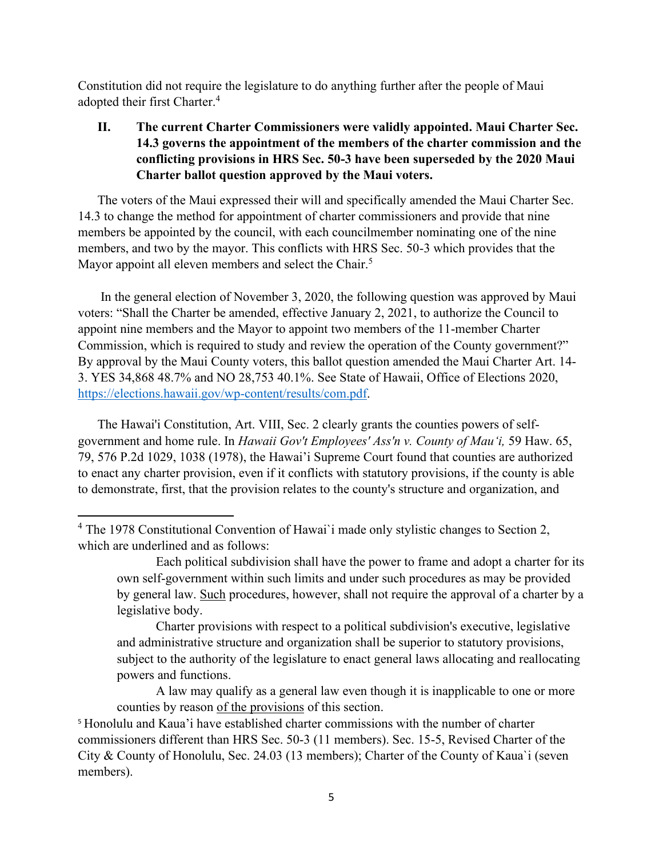Constitution did not require the legislature to do anything further after the people of Maui adopted their first Charter. 4

# **II. The current Charter Commissioners were validly appointed. Maui Charter Sec. 14.3 governs the appointment of the members of the charter commission and the conflicting provisions in HRS Sec. 50-3 have been superseded by the 2020 Maui Charter ballot question approved by the Maui voters.**

The voters of the Maui expressed their will and specifically amended the Maui Charter Sec. 14.3 to change the method for appointment of charter commissioners and provide that nine members be appointed by the council, with each councilmember nominating one of the nine members, and two by the mayor. This conflicts with HRS Sec. 50-3 which provides that the Mayor appoint all eleven members and select the Chair.<sup>5</sup>

In the general election of November 3, 2020, the following question was approved by Maui voters: "Shall the Charter be amended, effective January 2, 2021, to authorize the Council to appoint nine members and the Mayor to appoint two members of the 11-member Charter Commission, which is required to study and review the operation of the County government?" By approval by the Maui County voters, this ballot question amended the Maui Charter Art. 14- 3. YES 34,868 48.7% and NO 28,753 40.1%. See State of Hawaii, Office of Elections 2020, [https://elections.hawaii.gov/wp-content/results/com.pdf.](https://elections.hawaii.gov/wp-content/results/com.pdf)

The Hawai'i Constitution, Art. VIII, Sec. 2 clearly grants the counties powers of selfgovernment and home rule. In *Hawaii Gov't Employees' Ass'n v. County of Mau'i,* 59 Haw. 65, 79, 576 P.2d 1029, 1038 (1978), the Hawai'i Supreme Court found that counties are authorized to enact any charter provision, even if it conflicts with statutory provisions, if the county is able to demonstrate, first, that the provision relates to the county's structure and organization, and

Charter provisions with respect to a political subdivision's executive, legislative and administrative structure and organization shall be superior to statutory provisions, subject to the authority of the legislature to enact general laws allocating and reallocating powers and functions.

A law may qualify as a general law even though it is inapplicable to one or more counties by reason of the provisions of this section.

<sup>5</sup> Honolulu and Kaua'i have established charter commissions with the number of charter commissioners different than HRS Sec. 50-3 (11 members). Sec. 15-5, Revised Charter of the City & County of Honolulu, Sec. 24.03 (13 members); Charter of the County of Kaua`i (seven members).

<sup>&</sup>lt;sup>4</sup> The 1978 Constitutional Convention of Hawai`i made only stylistic changes to Section 2, which are underlined and as follows:

Each political subdivision shall have the power to frame and adopt a charter for its own self-government within such limits and under such procedures as may be provided by general law. Such procedures, however, shall not require the approval of a charter by a legislative body.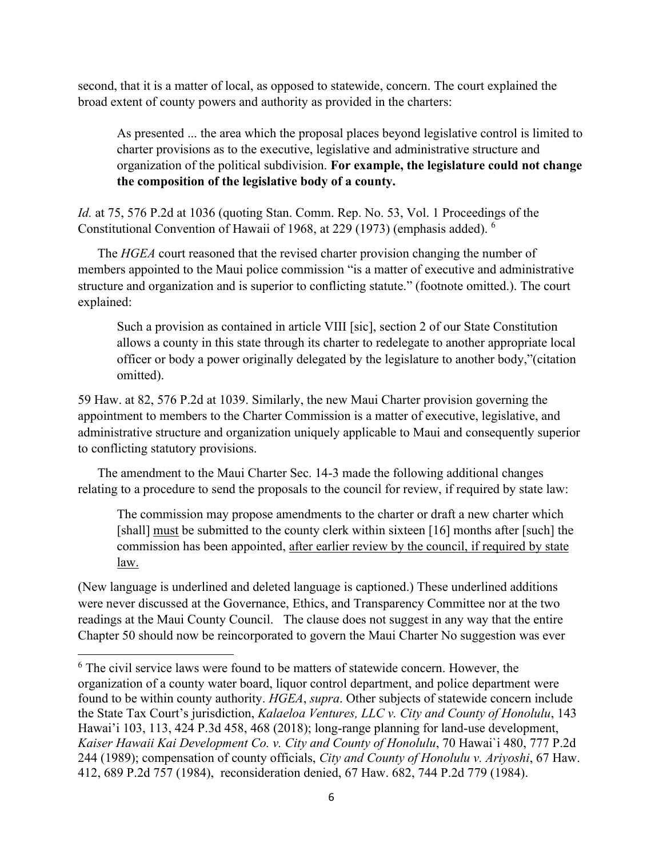second, that it is a matter of local, as opposed to statewide, concern. The court explained the broad extent of county powers and authority as provided in the charters:

As presented ... the area which the proposal places beyond legislative control is limited to charter provisions as to the executive, legislative and administrative structure and organization of the political subdivision. **For example, the legislature could not change the composition of the legislative body of a county.** 

*Id.* at 75, 576 P.2d at 1036 (quoting Stan. Comm. Rep. No. 53, Vol. 1 Proceedings of the Constitutional Convention of Hawaii of 1968, at 229 (1973) (emphasis added). 6

The *HGEA* court reasoned that the revised charter provision changing the number of members appointed to the Maui police commission "is a matter of executive and administrative structure and organization and is superior to conflicting statute." (footnote omitted.). The court explained:

Such a provision as contained in article VIII [sic], section 2 of our State Constitution allows a county in this state through its charter to redelegate to another appropriate local officer or body a power originally delegated by the legislature to another body,"(citation omitted).

59 Haw. at 82, 576 P.2d at 1039. Similarly, the new Maui Charter provision governing the appointment to members to the Charter Commission is a matter of executive, legislative, and administrative structure and organization uniquely applicable to Maui and consequently superior to conflicting statutory provisions.

The amendment to the Maui Charter Sec. 14-3 made the following additional changes relating to a procedure to send the proposals to the council for review, if required by state law:

The commission may propose amendments to the charter or draft a new charter which [shall] must be submitted to the county clerk within sixteen [16] months after [such] the commission has been appointed, after earlier review by the council, if required by state law.

(New language is underlined and deleted language is captioned.) These underlined additions were never discussed at the Governance, Ethics, and Transparency Committee nor at the two readings at the Maui County Council. The clause does not suggest in any way that the entire Chapter 50 should now be reincorporated to govern the Maui Charter No suggestion was ever

 $6$  The civil service laws were found to be matters of statewide concern. However, the organization of a county water board, liquor control department, and police department were found to be within county authority. *HGEA*, *supra*. Other subjects of statewide concern include the State Tax Court's jurisdiction, *Kalaeloa Ventures, LLC v. City and County of Honolulu*, 143 Hawai'i 103, 113, 424 P.3d 458, 468 (2018); long-range planning for land-use development, *Kaiser Hawaii Kai Development Co. v. City and County of Honolulu*, 70 Hawai`i 480, 777 P.2d 244 (1989); compensation of county officials, *City and County of Honolulu v. Ariyoshi*, 67 Haw. 412, 689 P.2d 757 (1984), reconsideration denied, 67 Haw. 682, 744 P.2d 779 (1984).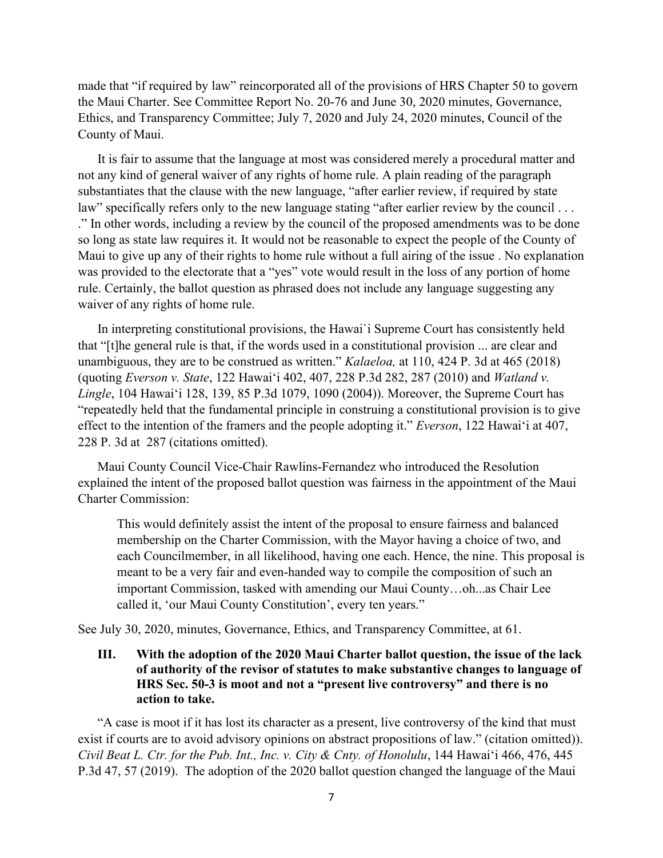made that "if required by law" reincorporated all of the provisions of HRS Chapter 50 to govern the Maui Charter. See Committee Report No. 20-76 and June 30, 2020 minutes, Governance, Ethics, and Transparency Committee; July 7, 2020 and July 24, 2020 minutes, Council of the County of Maui.

It is fair to assume that the language at most was considered merely a procedural matter and not any kind of general waiver of any rights of home rule. A plain reading of the paragraph substantiates that the clause with the new language, "after earlier review, if required by state law" specifically refers only to the new language stating "after earlier review by the council ... ." In other words, including a review by the council of the proposed amendments was to be done so long as state law requires it. It would not be reasonable to expect the people of the County of Maui to give up any of their rights to home rule without a full airing of the issue . No explanation was provided to the electorate that a "yes" vote would result in the loss of any portion of home rule. Certainly, the ballot question as phrased does not include any language suggesting any waiver of any rights of home rule.

In interpreting constitutional provisions, the Hawai`i Supreme Court has consistently held that "[t]he general rule is that, if the words used in a constitutional provision ... are clear and unambiguous, they are to be construed as written." *Kalaeloa,* at 110, 424 P. 3d at 465 (2018) (quoting *Everson v. State*, 122 Hawai'i 402, 407, 228 P.3d 282, 287 (2010) and *Watland v. Lingle*, 104 Hawai'i 128, 139, 85 P.3d 1079, 1090 (2004)). Moreover, the Supreme Court has "repeatedly held that the fundamental principle in construing a constitutional provision is to give effect to the intention of the framers and the people adopting it." *Everson*, 122 Hawai'i at 407, 228 P. 3d at 287 (citations omitted).

Maui County Council Vice-Chair Rawlins-Fernandez who introduced the Resolution explained the intent of the proposed ballot question was fairness in the appointment of the Maui Charter Commission:

This would definitely assist the intent of the proposal to ensure fairness and balanced membership on the Charter Commission, with the Mayor having a choice of two, and each Councilmember, in all likelihood, having one each. Hence, the nine. This proposal is meant to be a very fair and even-handed way to compile the composition of such an important Commission, tasked with amending our Maui County…oh...as Chair Lee called it, 'our Maui County Constitution', every ten years."

See July 30, 2020, minutes, Governance, Ethics, and Transparency Committee, at 61.

**III. With the adoption of the 2020 Maui Charter ballot question, the issue of the lack of authority of the revisor of statutes to make substantive changes to language of HRS Sec. 50-3 is moot and not a "present live controversy" and there is no action to take.**

"A case is moot if it has lost its character as a present, live controversy of the kind that must exist if courts are to avoid advisory opinions on abstract propositions of law." (citation omitted)). *Civil Beat L. Ctr. for the Pub. Int., Inc. v. City & Cnty. of Honolulu*, 144 Hawai'i 466, 476, 445 P.3d 47, 57 (2019). The adoption of the 2020 ballot question changed the language of the Maui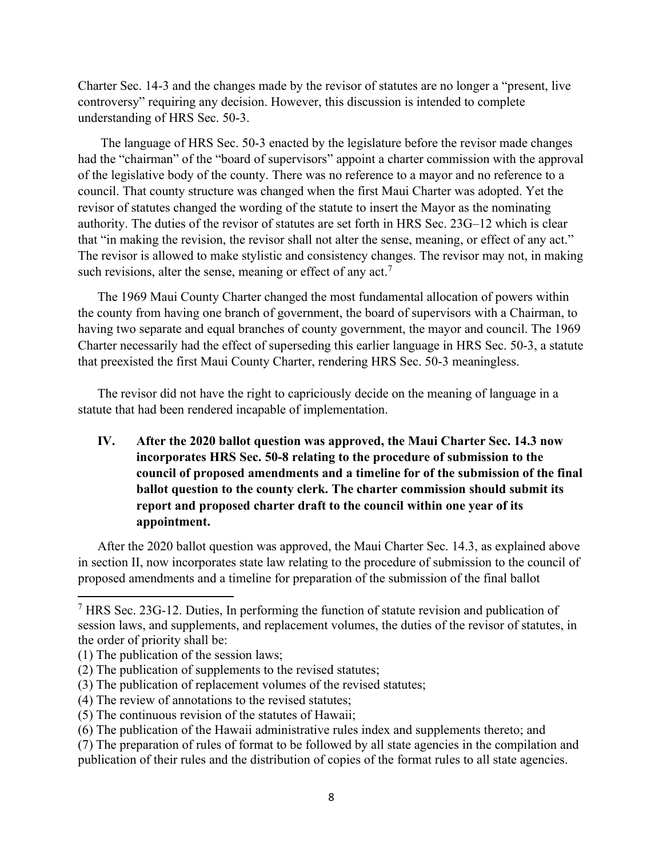Charter Sec. 14-3 and the changes made by the revisor of statutes are no longer a "present, live controversy" requiring any decision. However, this discussion is intended to complete understanding of HRS Sec. 50-3.

The language of HRS Sec. 50-3 enacted by the legislature before the revisor made changes had the "chairman" of the "board of supervisors" appoint a charter commission with the approval of the legislative body of the county. There was no reference to a mayor and no reference to a council. That county structure was changed when the first Maui Charter was adopted. Yet the revisor of statutes changed the wording of the statute to insert the Mayor as the nominating authority. The duties of the revisor of statutes are set forth in HRS Sec. 23G–12 which is clear that "in making the revision, the revisor shall not alter the sense, meaning, or effect of any act." The revisor is allowed to make stylistic and consistency changes. The revisor may not, in making such revisions, alter the sense, meaning or effect of any  $act.^7$ 

The 1969 Maui County Charter changed the most fundamental allocation of powers within the county from having one branch of government, the board of supervisors with a Chairman, to having two separate and equal branches of county government, the mayor and council. The 1969 Charter necessarily had the effect of superseding this earlier language in HRS Sec. 50-3, a statute that preexisted the first Maui County Charter, rendering HRS Sec. 50-3 meaningless.

The revisor did not have the right to capriciously decide on the meaning of language in a statute that had been rendered incapable of implementation.

**IV. After the 2020 ballot question was approved, the Maui Charter Sec. 14.3 now incorporates HRS Sec. 50-8 relating to the procedure of submission to the council of proposed amendments and a timeline for of the submission of the final ballot question to the county clerk. The charter commission should submit its report and proposed charter draft to the council within one year of its appointment.**

After the 2020 ballot question was approved, the Maui Charter Sec. 14.3, as explained above in section II, now incorporates state law relating to the procedure of submission to the council of proposed amendments and a timeline for preparation of the submission of the final ballot

 $<sup>7</sup>$  HRS Sec. 23G-12. Duties, In performing the function of statute revision and publication of</sup> session laws, and supplements, and replacement volumes, the duties of the revisor of statutes, in the order of priority shall be:

<sup>(1)</sup> The publication of the session laws;

<sup>(2)</sup> The publication of supplements to the revised statutes;

<sup>(3)</sup> The publication of replacement volumes of the revised statutes;

<sup>(4)</sup> The review of annotations to the revised statutes;

<sup>(5)</sup> The continuous revision of the statutes of Hawaii;

<sup>(6)</sup> The publication of the Hawaii administrative rules index and supplements thereto; and

<sup>(7)</sup> The preparation of rules of format to be followed by all state agencies in the compilation and publication of their rules and the distribution of copies of the format rules to all state agencies.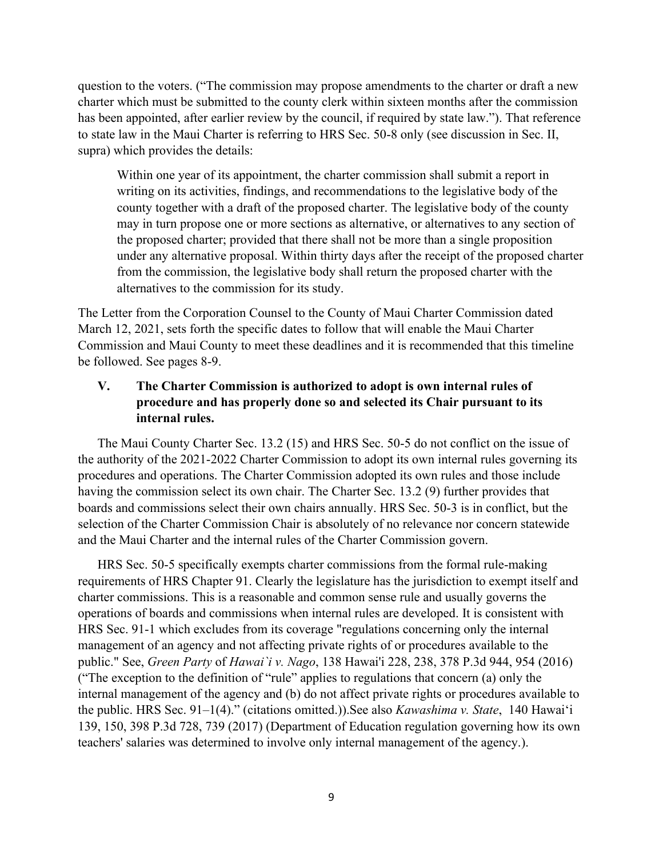question to the voters. ("The commission may propose amendments to the charter or draft a new charter which must be submitted to the county clerk within sixteen months after the commission has been appointed, after earlier review by the council, if required by state law."). That reference to state law in the Maui Charter is referring to HRS Sec. 50-8 only (see discussion in Sec. II, supra) which provides the details:

Within one year of its appointment, the charter commission shall submit a report in writing on its activities, findings, and recommendations to the legislative body of the county together with a draft of the proposed charter. The legislative body of the county may in turn propose one or more sections as alternative, or alternatives to any section of the proposed charter; provided that there shall not be more than a single proposition under any alternative proposal. Within thirty days after the receipt of the proposed charter from the commission, the legislative body shall return the proposed charter with the alternatives to the commission for its study.

The Letter from the Corporation Counsel to the County of Maui Charter Commission dated March 12, 2021, sets forth the specific dates to follow that will enable the Maui Charter Commission and Maui County to meet these deadlines and it is recommended that this timeline be followed. See pages 8-9.

### **V. The Charter Commission is authorized to adopt is own internal rules of procedure and has properly done so and selected its Chair pursuant to its internal rules.**

The Maui County Charter Sec. 13.2 (15) and HRS Sec. 50-5 do not conflict on the issue of the authority of the 2021-2022 Charter Commission to adopt its own internal rules governing its procedures and operations. The Charter Commission adopted its own rules and those include having the commission select its own chair. The Charter Sec. 13.2 (9) further provides that boards and commissions select their own chairs annually. HRS Sec. 50-3 is in conflict, but the selection of the Charter Commission Chair is absolutely of no relevance nor concern statewide and the Maui Charter and the internal rules of the Charter Commission govern.

HRS Sec. 50-5 specifically exempts charter commissions from the formal rule-making requirements of HRS Chapter 91. Clearly the legislature has the jurisdiction to exempt itself and charter commissions. This is a reasonable and common sense rule and usually governs the operations of boards and commissions when internal rules are developed. It is consistent with HRS Sec. 91-1 which excludes from its coverage "regulations concerning only the internal management of an agency and not affecting private rights of or procedures available to the public." See, *Green Party* of *Hawai`i v. Nago*, 138 Hawai'i 228, 238, 378 P.3d 944, 954 (2016) ("The exception to the definition of "rule" applies to regulations that concern (a) only the internal management of the agency and (b) do not affect private rights or procedures available to the public. HRS Sec. 91–1(4)." (citations omitted.)).See also *Kawashima v. State*, 140 Hawai'i 139, 150, 398 P.3d 728, 739 (2017) (Department of Education regulation governing how its own teachers' salaries was determined to involve only internal management of the agency.).